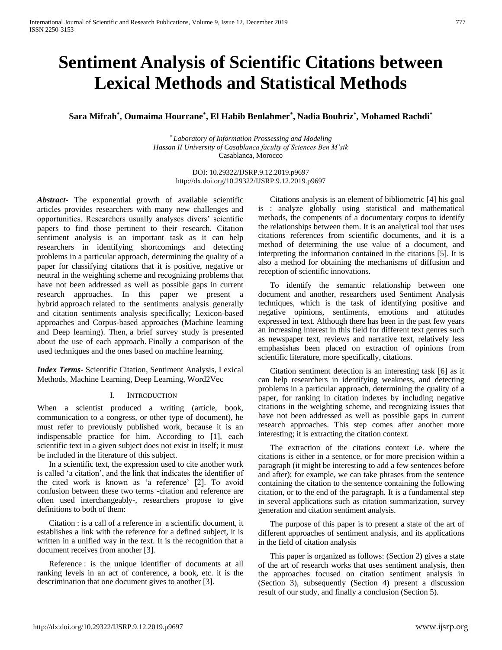# **Sentiment Analysis of Scientific Citations between Lexical Methods and Statistical Methods**

# **Sara Mifrah\* , Oumaima Hourrane\* , El Habib Benlahmer\* , Nadia Bouhriz\* , Mohamed Rachdi\***

\* *Laboratory of Information Prossessing and Modeling Hassan II University of Casablanca faculty of Sciences Ben M'sik* Casablanca, Morocco

> DOI: 10.29322/IJSRP.9.12.2019.p9697 <http://dx.doi.org/10.29322/IJSRP.9.12.2019.p9697>

*Abstract***-** The exponential growth of available scientific articles provides researchers with many new challenges and opportunities. Researchers usually analyses divers' scientific papers to find those pertinent to their research. Citation sentiment analysis is an important task as it can help researchers in identifying shortcomings and detecting problems in a particular approach, determining the quality of a paper for classifying citations that it is positive, negative or neutral in the weighting scheme and recognizing problems that have not been addressed as well as possible gaps in current research approaches. In this paper we present a hybrid approach related to the sentiments analysis generally and citation sentiments analysis specifically; Lexicon-based approaches and Corpus-based approaches (Machine learning and Deep learning). Then, a brief survey study is presented about the use of each approach. Finally a comparison of the used techniques and the ones based on machine learning.

*Index Terms*- Scientific Citation, Sentiment Analysis, Lexical Methods, Machine Learning, Deep Learning, Word2Vec

## I. INTRODUCTION

When a scientist produced a writing (article, book, communication to a congress, or other type of document), he must refer to previously published work, because it is an indispensable practice for him. According to [1], each scientific text in a given subject does not exist in itself; it must be included in the literature of this subject.

In a scientific text, the expression used to cite another work is called 'a citation', and the link that indicates the identifier of the cited work is known as 'a reference' [2]. To avoid confusion between these two terms -citation and reference are often used interchangeably-, researchers propose to give definitions to both of them:

Citation : is a call of a reference in a scientific document, it establishes a link with the reference for a defined subject, it is written in a unified way in the text. It is the recognition that a document receives from another [3].

Reference : is the unique identifier of documents at all ranking levels in an act of conference, a book, etc. it is the descrimination that one document gives to another [3].

Citations analysis is an element of bibliometric [4] his goal is : analyze globally using statistical and mathematical methods, the compenents of a documentary corpus to identify the relationships between them. It is an analytical tool that uses citations references from scientific documents, and it is a method of determining the use value of a document, and interpreting the information contained in the citations [5]. It is also a method for obtaining the mechanisms of diffusion and reception of scientific innovations.

To identify the semantic relationship between one document and another, researchers used Sentiment Analysis techniques, which is the task of identifying positive and negative opinions, sentiments, emotions and attitudes expressed in text. Although there has been in the past few years an increasing interest in this field for different text genres such as newspaper text, reviews and narrative text, relatively less emphasishas been placed on extraction of opinions from scientific literature, more specifically, citations.

Citation sentiment detection is an interesting task [6] as it can help researchers in identifying weakness, and detecting problems in a particular approach, determining the quality of a paper, for ranking in citation indexes by including negative citations in the weighting scheme, and recognizing issues that have not been addressed as well as possible gaps in current research approaches. This step comes after another more interesting; it is extracting the citation context.

The extraction of the citations context i.e. where the citations is either in a sentence, or for more precision within a paragraph (it might be interesting to add a few sentences before and after); for example, we can take phrases from the sentence containing the citation to the sentence containing the following citation, or to the end of the paragraph. It is a fundamental step in several applications such as citation summarization, survey generation and citation sentiment analysis.

The purpose of this paper is to present a state of the art of different approaches of sentiment analysis, and its applications in the field of citation analysis

This paper is organized as follows: (Section 2) gives a state of the art of research works that uses sentiment analysis, then the approaches focused on citation sentiment analysis in (Section 3), subsequently (Section 4) present a discussion result of our study, and finally a conclusion (Section 5).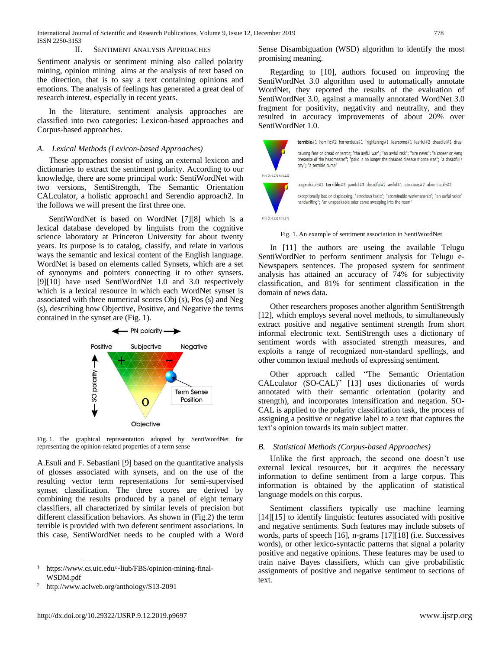#### II. SENTIMENT ANALYSIS APPROACHES

Sentiment analysis or sentiment mining also called polarity mining, opinion mining aims at the analysis of text based on the direction, that is to say a text containing opinions and emotions. The analysis of feelings has generated a great deal of research interest, especially in recent years.

In the literature, sentiment analysis approaches are classified into two categories: Lexicon-based approaches and Corpus-based approaches.

#### *A. Lexical Methods (Lexicon-based Approaches)*

These approaches consist of using an external lexicon and dictionaries to extract the sentiment polarity. According to our knowledge, there are some principal work: SentiWordNet with two versions, SentiStrength, The Semantic Orientation CALculator, a holistic approach1 and Serendio approach2. In the follows we will present the first three one.

SentiWordNet is based on WordNet [7][8] which is a lexical database developed by linguists from the cognitive science laboratory at Princeton University for about twenty years. Its purpose is to catalog, classify, and relate in various ways the semantic and lexical content of the English language. WordNet is based on elements called Synsets, which are a set of synonyms and pointers connecting it to other synsets. [9][10] have used SentiWordNet 1.0 and 3.0 respectively which is a lexical resource in which each WordNet synset is associated with three numerical scores Obj (s), Pos (s) and Neg (s), describing how Objective, Positive, and Negative the terms contained in the synset are (Fig. 1).



Fig. 1. The graphical representation adopted by SentiWordNet for representing the opinion-related properties of a term sense

A.Esuli and F. Sebastiani [9] based on the quantitative analysis of glosses associated with synsets, and on the use of the resulting vector term representations for semi-supervised synset classification. The three scores are derived by combining the results produced by a panel of eight ternary classifiers, all characterized by similar levels of precision but different classification behaviors. As shown in (Fig.2) the term terrible is provided with two deferent sentiment associations. In this case, SentiWordNet needs to be coupled with a Word

l

Sense Disambiguation (WSD) algorithm to identify the most promising meaning.

Regarding to [10], authors focused on improving the SentiWordNet 3.0 algorithm used to automatically annotate WordNet, they reported the results of the evaluation of SentiWordNet 3.0, against a manually annotated WordNet 3.0 fragment for positivity, negativity and neutrality, and they resulted in accuracy improvements of about 20% over SentiWordNet 1.0.



Fig. 1. An example of sentiment association in SentiWordNet

In [11] the authors are useing the available Telugu SentiWordNet to perform sentiment analysis for Telugu e-Newspapers sentences. The proposed system for sentiment analysis has attained an accuracy of 74% for subjectivity classification, and 81% for sentiment classification in the domain of news data.

Other researchers proposes another algorithm SentiStrength [12], which employs several novel methods, to simultaneously extract positive and negative sentiment strength from short informal electronic text. SentiStrength uses a dictionary of sentiment words with associated strength measures, and exploits a range of recognized non-standard spellings, and other common textual methods of expressing sentiment.

Other approach called "The Semantic Orientation CALculator (SO-CAL)" [13] uses dictionaries of words annotated with their semantic orientation (polarity and strength), and incorporates intensification and negation. SO-CAL is applied to the polarity classification task, the process of assigning a positive or negative label to a text that captures the text's opinion towards its main subject matter.

### *B. Statistical Methods (Corpus-based Approaches)*

Unlike the first approach, the second one doesn't use external lexical resources, but it acquires the necessary information to define sentiment from a large corpus. This information is obtained by the application of statistical language models on this corpus.

Sentiment classifiers typically use machine learning [14][15] to identify linguistic features associated with positive and negative sentiments. Such features may include subsets of words, parts of speech [16], n-grams [17][18] (i.e. Successives words), or other lexico-syntactic patterns that signal a polarity positive and negative opinions. These features may be used to train naive Bayes classifiers, which can give probabilistic assignments of positive and negative sentiment to sections of text.

https://www.cs.uic.edu/~liub/FBS/opinion-mining-final-WSDM.pdf

<sup>2</sup> http://www.aclweb.org/anthology/S13-2091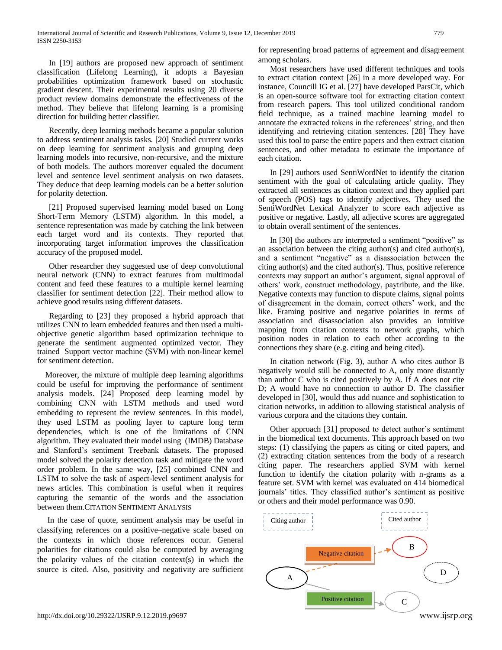In [19] authors are proposed new approach of sentiment classification (Lifelong Learning), it adopts a Bayesian probabilities optimization framework based on stochastic gradient descent. Their experimental results using 20 diverse product review domains demonstrate the effectiveness of the method. They believe that lifelong learning is a promising direction for building better classifier.

Recently, deep learning methods became a popular solution to address sentiment analysis tasks. [20] Studied current works on deep learning for sentiment analysis and grouping deep learning models into recursive, non-recursive, and the mixture of both models. The authors moreover equaled the document level and sentence level sentiment analysis on two datasets. They deduce that deep learning models can be a better solution for polarity detection.

[21] Proposed supervised learning model based on Long Short-Term Memory (LSTM) algorithm. In this model, a sentence representation was made by catching the link between each target word and its contexts. They reported that incorporating target information improves the classification accuracy of the proposed model.

Other researcher they suggested use of deep convolutional neural network (CNN) to extract features from multimodal content and feed these features to a multiple kernel learning classifier for sentiment detection [22]. Their method allow to achieve good results using different datasets.

Regarding to [23] they proposed a hybrid approach that utilizes CNN to learn embedded features and then used a multiobjective genetic algorithm based optimization technique to generate the sentiment augmented optimized vector. They trained Support vector machine (SVM) with non-linear kernel for sentiment detection.

 Moreover, the mixture of multiple deep learning algorithms could be useful for improving the performance of sentiment analysis models. [24] Proposed deep learning model by combining CNN with LSTM methods and used word embedding to represent the review sentences. In this model, they used LSTM as pooling layer to capture long term dependencies, which is one of the limitations of CNN algorithm. They evaluated their model using (IMDB) Database and Stanford's sentiment Treebank datasets. The proposed model solved the polarity detection task and mitigate the word order problem. In the same way, [25] combined CNN and LSTM to solve the task of aspect-level sentiment analysis for news articles. This combination is useful when it requires capturing the semantic of the words and the association between them.CITATION SENTIMENT ANALYSIS

 In the case of quote, sentiment analysis may be useful in classifying references on a positive–negative scale based on the contexts in which those references occur. General polarities for citations could also be computed by averaging the polarity values of the citation context(s) in which the source is cited. Also, positivity and negativity are sufficient for representing broad patterns of agreement and disagreement among scholars.

Most researchers have used different techniques and tools to extract citation context [26] in a more developed way. For instance, Councill IG et al. [27] have developed ParsCit, which is an open-source software tool for extracting citation context from research papers. This tool utilized conditional random field technique, as a trained machine learning model to annotate the extracted tokens in the references' string, and then identifying and retrieving citation sentences. [28] They have used this tool to parse the entire papers and then extract citation sentences, and other metadata to estimate the importance of each citation.

In [29] authors used SentiWordNet to identify the citation sentiment with the goal of calculating article quality. They extracted all sentences as citation context and they applied part of speech (POS) tags to identify adjectives. They used the SentiWordNet Lexical Analyzer to score each adjective as positive or negative. Lastly, all adjective scores are aggregated to obtain overall sentiment of the sentences.

In [30] the authors are interpreted a sentiment "positive" as an association between the citing author(s) and cited author(s), and a sentiment "negative" as a disassociation between the citing author(s) and the cited author(s). Thus, positive reference contexts may support an author's argument, signal approval of others' work, construct methodology, paytribute, and the like. Negative contexts may function to dispute claims, signal points of disagreement in the domain, correct others' work, and the like. Framing positive and negative polarities in terms of association and disassociation also provides an intuitive mapping from citation contexts to network graphs, which position nodes in relation to each other according to the connections they share (e.g. citing and being cited).

In citation network (Fig. 3), author A who cites author B negatively would still be connected to A, only more distantly than author C who is cited positively by A. If A does not cite D; A would have no connection to author D. The classifier developed in [30], would thus add nuance and sophistication to citation networks, in addition to allowing statistical analysis of various corpora and the citations they contain.

Other approach [31] proposed to detect author's sentiment in the biomedical text documents. This approach based on two steps: (1) classifying the papers as citing or cited papers, and (2) extracting citation sentences from the body of a research citing paper. The researchers applied SVM with kernel function to identify the citation polarity with n-grams as a feature set. SVM with kernel was evaluated on 414 biomedical journals' titles. They classified author's sentiment as positive or others and their model performance was 0.90.

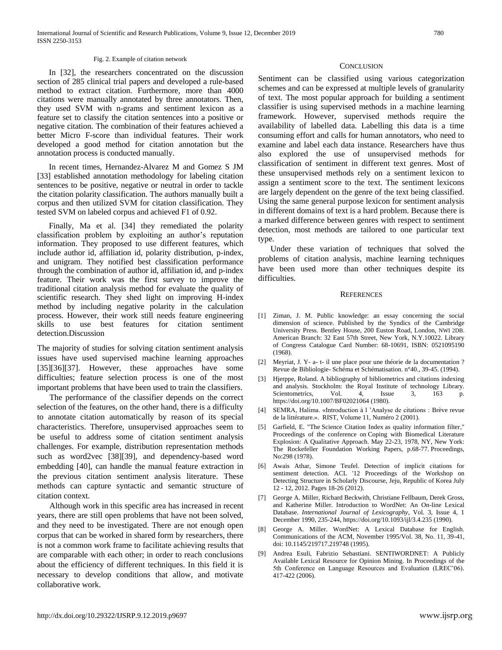#### Fig. 2. Example of citation network

In [32], the researchers concentrated on the discussion section of 285 clinical trial papers and developed a rule-based method to extract citation. Furthermore, more than 4000 citations were manually annotated by three annotators. Then, they used SVM with n-grams and sentiment lexicon as a feature set to classify the citation sentences into a positive or negative citation. The combination of their features achieved a better Micro F-score than individual features. Their work developed a good method for citation annotation but the annotation process is conducted manually.

In recent times, Hernandez-Alvarez M and Gomez S JM [33] established annotation methodology for labeling citation sentences to be positive, negative or neutral in order to tackle the citation polarity classification. The authors manually built a corpus and then utilized SVM for citation classification. They tested SVM on labeled corpus and achieved F1 of 0.92.

Finally, Ma et al. [34] they remediated the polarity classification problem by exploiting an author's reputation information. They proposed to use different features, which include author id, affiliation id, polarity distribution, p-index, and unigram. They notified best classification performance through the combination of author id, affiliation id, and p-index feature. Their work was the first survey to improve the traditional citation analysis method for evaluate the quality of scientific research. They shed light on improving H-index method by including negative polarity in the calculation process. However, their work still needs feature engineering skills to use best features for citation sentiment detection.Discussion

The majority of studies for solving citation sentiment analysis issues have used supervised machine learning approaches [35][36][37]. However, these approaches have some difficulties; feature selection process is one of the most important problems that have been used to train the classifiers.

The performance of the classifier depends on the correct selection of the features, on the other hand, there is a difficulty to annotate citation automatically by reason of its special characteristics. Therefore, unsupervised approaches seem to be useful to address some of citation sentiment analysis challenges. For example, distribution representation methods such as word2vec [38][39], and dependency-based word embedding [40], can handle the manual feature extraction in the previous citation sentiment analysis literature. These methods can capture syntactic and semantic structure of citation context.

Although work in this specific area has increased in recent years, there are still open problems that have not been solved, and they need to be investigated. There are not enough open corpus that can be worked in shared form by researchers, there is not a common work frame to facilitate achieving results that are comparable with each other; in order to reach conclusions about the efficiency of different techniques. In this field it is necessary to develop conditions that allow, and motivate collaborative work.

#### **CONCLUSION**

Sentiment can be classified using various categorization schemes and can be expressed at multiple levels of granularity of text. The most popular approach for building a sentiment classifier is using supervised methods in a machine learning framework. However, supervised methods require the availability of labelled data. Labelling this data is a time consuming effort and calls for human annotators, who need to examine and label each data instance. Researchers have thus also explored the use of unsupervised methods for classification of sentiment in different text genres. Most of these unsupervised methods rely on a sentiment lexicon to assign a sentiment score to the text. The sentiment lexicons are largely dependent on the genre of the text being classified. Using the same general purpose lexicon for sentiment analysis in different domains of text is a hard problem. Because there is a marked difference between genres with respect to sentiment detection, most methods are tailored to one particular text type.

Under these variation of techniques that solved the problems of citation analysis, machine learning techniques have been used more than other techniques despite its difficulties.

#### **REFERENCES**

- [1] Ziman, J. M. Public knowledge: an essay concerning the social dimension of science. Published by the Syndics of the Cambridge University Press. Bentley House, 200 Euston Road, London, NWI 2DB. American Branch: 32 East 57th Street, New York, N.Y.10022. Library of Congress Catalogue Card Number: 68-10691, ISBN: 0521095190 (1968).
- [2] Meyriat, J. Y- a- t- il une place pour une théorie de la documentation ? Revue de Bibliologie- Schéma et Schématisation. n°40., 39-45. (1994).
- [3] Hjerppe, Roland. A bibliography of bibliometrics and citations indexing and analysis. Stockholm: the Royal Institute of technology Library. Scientometrics, Vol. 4, Issue 3, 163 p. <https://doi.org/10.1007/BF02021064> (1980).
- [4] SEMRA, Halima. «Introduction à l 'Analyse de citations : Brève revue de la littérature.». RIST, Volume 11, Numéro 2 (2001).
- [5] Garfield, E. "The Science Citation Index as quality information filter," Proceedings of the conference on Coping with Biomedical Literature Explosion: A Qualitative Approach. May 22-23, 1978, NY, New York: The Rockefeller Foundation Working Papers, p.68-77. Proceedings, No:298 (1978).
- [6] Awais Athar, Simone Teufel. Detection of implicit citations for sentiment detection. ACL '12 Proceedings of the Workshop on Detecting Structure in Scholarly Discourse, Jeju, Republic of Korea July 12 - 12, 2012. Pages 18-26 (2012).
- [7] George A. Miller, Richard Beckwith, Christiane Fellbaum, Derek Gross, and Katherine Miller. Introduction to WordNet: An On-line Lexical Database. *International Journal of Lexicography*, Vol. 3, Issue 4, 1 December 1990, 235-244, <https://doi.org/10.1093/ijl/3.4.235> (1990).
- [8] George A. Miller. WordNet: A Lexical Database for English. Communications of the ACM, November 1995/Vol. 38, No. 11, 39-41, doi: 10.1145/219717.219748 (1995).
- [9] Andrea Esuli, Fabrizio Sebastiani. SENTIWORDNET: A Publicly Available Lexical Resource for Opinion Mining. In Proceedings of the 5th Conference on Language Resources and Evaluation (LREC'06). 417-422 (2006).